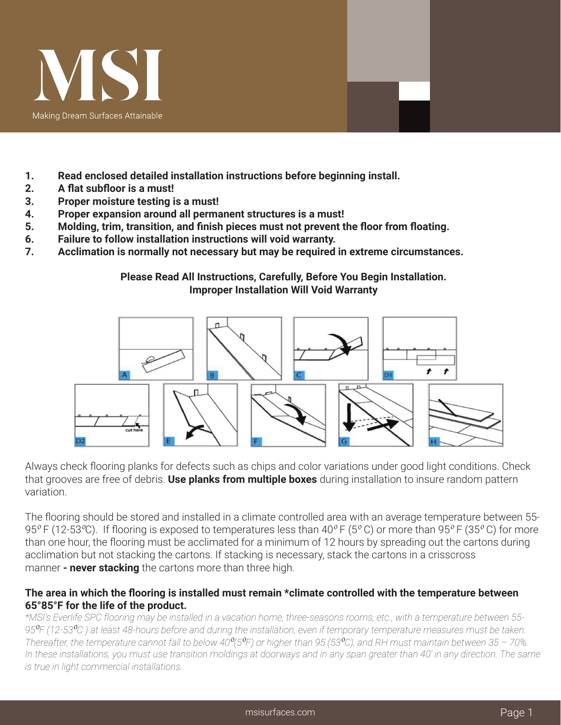

- **1. Read enclosed detailed installation instructions before beginning install.**
- **2. A flat subfloor is a must!**
- **3. Proper moisture testing is a must!**
- **4. Proper expansion around all permanent structures is a must!**
- **5. Molding, trim, transition, and finish pieces must not prevent the floor from floating.**
- **6. Failure to follow installation instructions will void warranty.**
- **7. Acclimation is normally not necessary but may be required in extreme circumstances.**

## **Please Read All Instructions, Carefully, Before You Begin Installation. Improper Installation Will Void Warranty**



Always check flooring planks for defects such as chips and color variations under good light conditions. Check that grooves are free of debris. **Use planks from multiple boxes** during installation to insure random pattern variation.

The flooring should be stored and installed in a climate controlled area with an average temperature between 55- 95<sup> $\degree$ </sup>F (12-53<sup> $\degree$ </sup>C). If flooring is exposed to temperatures less than 40 $\degree$ F (5 $\degree$ C) or more than 95 $\degree$ F (35 $\degree$ C) for more than one hour, the flooring must be acclimated for a minimum of 12 hours by spreading out the cartons during acclimation but not stacking the cartons. If stacking is necessary, stack the cartons in a crisscross manner **- never stacking** the cartons more than three high.

## **The area in which the flooring is installed must remain \*climate controlled with the temperature between 65°85°F for the life of the product.**

*\*MSI's Everlife SPC flooring may be installed in a vacation home, three-seasons rooms, etc., with a temperature between 55- 95*⁰*F (12-53*⁰*C ) at least 48-hours before and during the installation, even if temporary temperature measures must be taken. Thereafter, the temperature cannot fall to below 40<sup>°</sup>(5<sup>°</sup>F) or higher than 95 (53<sup>°</sup>C), and RH must maintain between 35 – 70%. In these installations, you must use transition moldings at doorways and in any span greater than 40' in any direction. The same is true in light commercial installations.*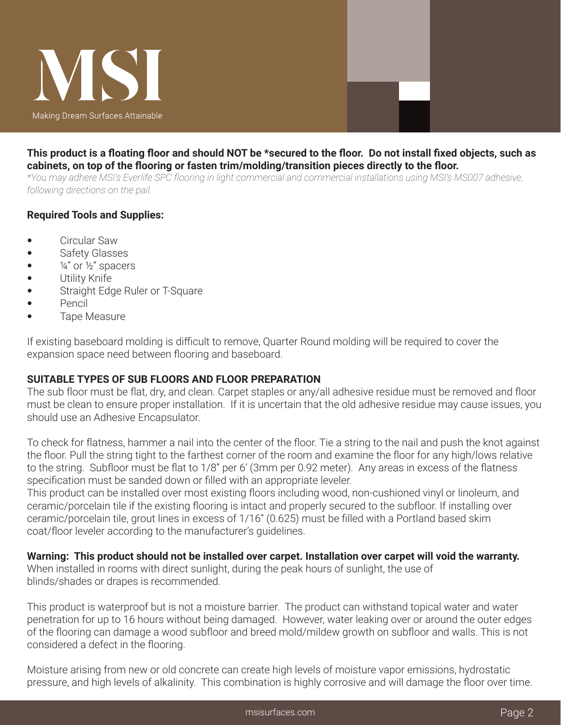

### This product is a floating floor and should NOT be \*secured to the floor. Do not install fixed objects, such as **cabinets, on top of the flooring or fasten trim/molding/transition pieces directly to the floor.**

*\*You may adhere MSI's Everlife SPC flooring in light commercial and commercial installations using MSI's MS007 adhesive, following directions on the pail.*

## **Required Tools and Supplies:**

- Circular Saw
- Safety Glasses
- $\frac{1}{4}$  or  $\frac{1}{2}$  spacers
- Utility Knife
- Straight Edge Ruler or T-Square
- Pencil
- Tape Measure

If existing baseboard molding is difficult to remove, Quarter Round molding will be required to cover the expansion space need between flooring and baseboard.

# **SUITABLE TYPES OF SUB FLOORS AND FLOOR PREPARATION**

The sub floor must be flat, dry, and clean. Carpet staples or any/all adhesive residue must be removed and floor must be clean to ensure proper installation. If it is uncertain that the old adhesive residue may cause issues, you should use an Adhesive Encapsulator.

To check for flatness, hammer a nail into the center of the floor. Tie a string to the nail and push the knot against the floor. Pull the string tight to the farthest corner of the room and examine the floor for any high/lows relative to the string. Subfloor must be flat to 1/8" per 6' (3mm per 0.92 meter). Any areas in excess of the flatness specification must be sanded down or filled with an appropriate leveler.

This product can be installed over most existing floors including wood, non-cushioned vinyl or linoleum, and ceramic/porcelain tile if the existing flooring is intact and properly secured to the subfloor. If installing over ceramic/porcelain tile, grout lines in excess of 1/16" (0.625) must be filled with a Portland based skim coat/floor leveler according to the manufacturer's guidelines.

#### **Warning: This product should not be installed over carpet. Installation over carpet will void the warranty.** When installed in rooms with direct sunlight, during the peak hours of sunlight, the use of blinds/shades or drapes is recommended.

This product is waterproof but is not a moisture barrier. The product can withstand topical water and water penetration for up to 16 hours without being damaged. However, water leaking over or around the outer edges of the flooring can damage a wood subfloor and breed mold/mildew growth on subfloor and walls. This is not considered a defect in the flooring.

Moisture arising from new or old concrete can create high levels of moisture vapor emissions, hydrostatic pressure, and high levels of alkalinity. This combination is highly corrosive and will damage the floor over time.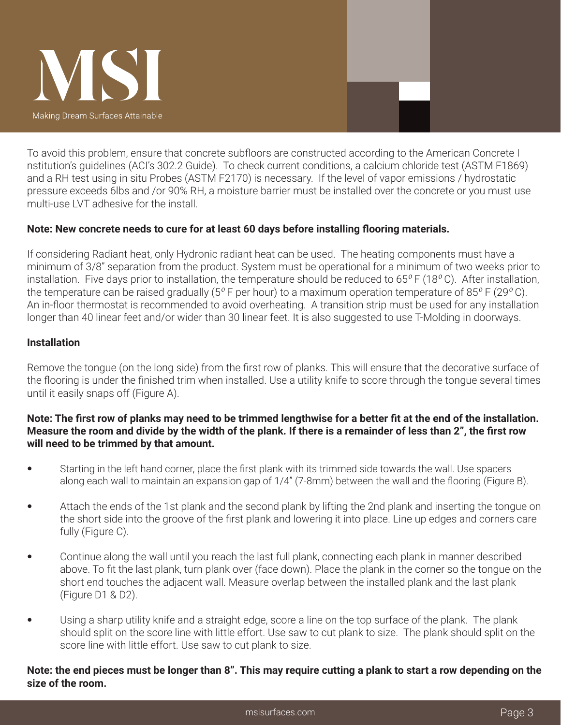

To avoid this problem, ensure that concrete subfloors are constructed according to the American Concrete I nstitution's guidelines (ACI's 302.2 Guide). To check current conditions, a calcium chloride test (ASTM F1869) and a RH test using in situ Probes (ASTM F2170) is necessary. If the level of vapor emissions / hydrostatic pressure exceeds 6lbs and /or 90% RH, a moisture barrier must be installed over the concrete or you must use multi-use LVT adhesive for the install.

# **Note: New concrete needs to cure for at least 60 days before installing flooring materials.**

If considering Radiant heat, only Hydronic radiant heat can be used. The heating components must have a minimum of 3/8" separation from the product. System must be operational for a minimum of two weeks prior to installation. Five days prior to installation, the temperature should be reduced to  $65^{\circ}$  F (18 $^{\circ}$ C). After installation, the temperature can be raised gradually ( $5^{\circ}$  F per hour) to a maximum operation temperature of 85 $^{\circ}$  F (29 $^{\circ}$ C). An in-floor thermostat is recommended to avoid overheating. A transition strip must be used for any installation longer than 40 linear feet and/or wider than 30 linear feet. It is also suggested to use T-Molding in doorways.

# **Installation**

Remove the tongue (on the long side) from the first row of planks. This will ensure that the decorative surface of the flooring is under the finished trim when installed. Use a utility knife to score through the tongue several times until it easily snaps off (Figure A).

# Note: The first row of planks may need to be trimmed lengthwise for a better fit at the end of the installation. Measure the room and divide by the width of the plank. If there is a remainder of less than 2", the first row **will need to be trimmed by that amount.**

- Starting in the left hand corner, place the first plank with its trimmed side towards the wall. Use spacers along each wall to maintain an expansion gap of 1/4" (7-8mm) between the wall and the flooring (Figure B).
- Attach the ends of the 1st plank and the second plank by lifting the 2nd plank and inserting the tongue on the short side into the groove of the first plank and lowering it into place. Line up edges and corners care fully (Figure C).
- Continue along the wall until you reach the last full plank, connecting each plank in manner described above. To fit the last plank, turn plank over (face down). Place the plank in the corner so the tongue on the short end touches the adjacent wall. Measure overlap between the installed plank and the last plank (Figure D1 & D2).
- Using a sharp utility knife and a straight edge, score a line on the top surface of the plank. The plank should split on the score line with little effort. Use saw to cut plank to size. The plank should split on the score line with little effort. Use saw to cut plank to size.

## Note: the end pieces must be longer than 8". This may require cutting a plank to start a row depending on the **size of the room.**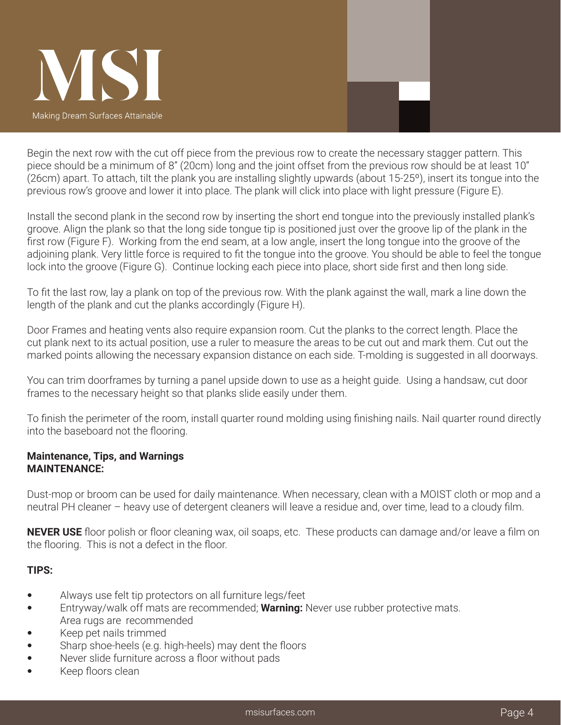

Begin the next row with the cut off piece from the previous row to create the necessary stagger pattern. This piece should be a minimum of 8" (20cm) long and the joint offset from the previous row should be at least 10" (26cm) apart. To attach, tilt the plank you are installing slightly upwards (about 15-25º), insert its tongue into the previous row's groove and lower it into place. The plank will click into place with light pressure (Figure E).

Install the second plank in the second row by inserting the short end tongue into the previously installed plank's groove. Align the plank so that the long side tongue tip is positioned just over the groove lip of the plank in the first row (Figure F). Working from the end seam, at a low angle, insert the long tongue into the groove of the adjoining plank. Very little force is required to fit the tongue into the groove. You should be able to feel the tongue lock into the groove (Figure G). Continue locking each piece into place, short side first and then long side.

To fit the last row, lay a plank on top of the previous row. With the plank against the wall, mark a line down the length of the plank and cut the planks accordingly (Figure H).

Door Frames and heating vents also require expansion room. Cut the planks to the correct length. Place the cut plank next to its actual position, use a ruler to measure the areas to be cut out and mark them. Cut out the marked points allowing the necessary expansion distance on each side. T-molding is suggested in all doorways.

You can trim doorframes by turning a panel upside down to use as a height guide. Using a handsaw, cut door frames to the necessary height so that planks slide easily under them.

To finish the perimeter of the room, install quarter round molding using finishing nails. Nail quarter round directly into the baseboard not the flooring.

### **Maintenance, Tips, and Warnings MAINTENANCE:**

Dust-mop or broom can be used for daily maintenance. When necessary, clean with a MOIST cloth or mop and a neutral PH cleaner – heavy use of detergent cleaners will leave a residue and, over time, lead to a cloudy film.

**NEVER USE** floor polish or floor cleaning wax, oil soaps, etc. These products can damage and/or leave a film on the flooring. This is not a defect in the floor.

# **TIPS:**

- Always use felt tip protectors on all furniture legs/feet
- Entryway/walk off mats are recommended; **Warning:** Never use rubber protective mats. Area rugs are recommended
- Keep pet nails trimmed
- Sharp shoe-heels (e.g. high-heels) may dent the floors
- Never slide furniture across a floor without pads
- Keep floors clean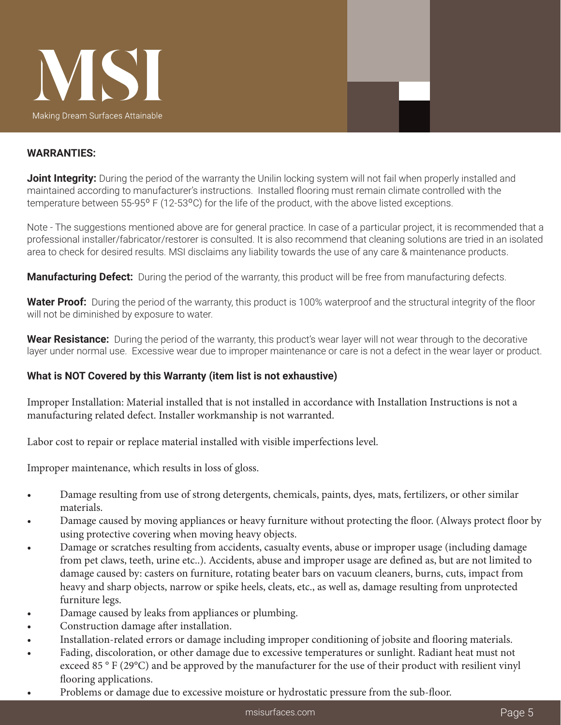

### **WARRANTIES:**

**Joint Integrity:** During the period of the warranty the Unilin locking system will not fail when properly installed and maintained according to manufacturer's instructions. Installed flooring must remain climate controlled with the temperature between 55-95° F (12-53°C) for the life of the product, with the above listed exceptions.

Note - The suggestions mentioned above are for general practice. In case of a particular project, it is recommended that a professional installer/fabricator/restorer is consulted. It is also recommend that cleaning solutions are tried in an isolated area to check for desired results. MSI disclaims any liability towards the use of any care & maintenance products.

**Manufacturing Defect:** During the period of the warranty, this product will be free from manufacturing defects.

**Water Proof:** During the period of the warranty, this product is 100% waterproof and the structural integrity of the floor will not be diminished by exposure to water.

**Wear Resistance:** During the period of the warranty, this product's wear layer will not wear through to the decorative layer under normal use. Excessive wear due to improper maintenance or care is not a defect in the wear layer or product.

### **What is NOT Covered by this Warranty (item list is not exhaustive)**

Improper Installation: Material installed that is not installed in accordance with Installation Instructions is not a manufacturing related defect. Installer workmanship is not warranted.

Labor cost to repair or replace material installed with visible imperfections level.

Improper maintenance, which results in loss of gloss.

- Damage resulting from use of strong detergents, chemicals, paints, dyes, mats, fertilizers, or other similar materials.
- Damage caused by moving appliances or heavy furniture without protecting the floor. (Always protect floor by using protective covering when moving heavy objects.
- Damage or scratches resulting from accidents, casualty events, abuse or improper usage (including damage from pet claws, teeth, urine etc..). Accidents, abuse and improper usage are defined as, but are not limited to damage caused by: casters on furniture, rotating beater bars on vacuum cleaners, burns, cuts, impact from heavy and sharp objects, narrow or spike heels, cleats, etc., as well as, damage resulting from unprotected furniture legs.
- Damage caused by leaks from appliances or plumbing.
- Construction damage after installation.
- Installation-related errors or damage including improper conditioning of jobsite and flooring materials.
- Fading, discoloration, or other damage due to excessive temperatures or sunlight. Radiant heat must not exceed 85 ° F (29°C) and be approved by the manufacturer for the use of their product with resilient vinyl flooring applications.
- Problems or damage due to excessive moisture or hydrostatic pressure from the sub-floor.